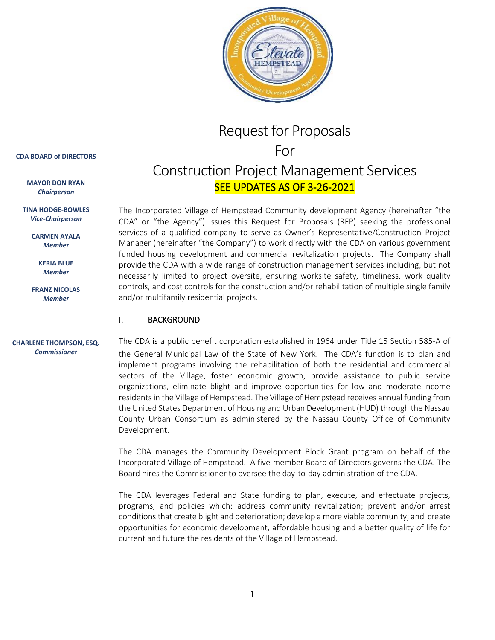

# Request for Proposals For Construction Project Management Services SEE UPDATES AS OF 3-26-2021

The Incorporated Village of Hempstead Community development Agency (hereinafter "the CDA" or "the Agency") issues this Request for Proposals (RFP) seeking the professional services of a qualified company to serve as Owner's Representative/Construction Project Manager (hereinafter "the Company") to work directly with the CDA on various government funded housing development and commercial revitalization projects. The Company shall provide the CDA with a wide range of construction management services including, but not necessarily limited to project oversite, ensuring worksite safety, timeliness, work quality controls, and cost controls for the construction and/or rehabilitation of multiple single family and/or multifamily residential projects.

## I. BACKGROUND

#### **CHARLENE THOMPSON, ESQ.** *Commissione***r**

The CDA is a public benefit corporation established in 1964 under Title 15 Section 585-A of the General Municipal Law of the State of New York. The CDA's function is to plan and implement programs involving the rehabilitation of both the residential and commercial sectors of the Village, foster economic growth, provide assistance to public service organizations, eliminate blight and improve opportunities for low and moderate-income residents in the Village of Hempstead. The Village of Hempstead receives annual funding from the United States Department of Housing and Urban Development (HUD) through the Nassau County Urban Consortium as administered by the Nassau County Office of Community Development.

The CDA manages the Community Development Block Grant program on behalf of the Incorporated Village of Hempstead. A five-member Board of Directors governs the CDA. The Board hires the Commissioner to oversee the day-to-day administration of the CDA.

The CDA leverages Federal and State funding to plan, execute, and effectuate projects, programs, and policies which: address community revitalization; prevent and/or arrest conditions that create blight and deterioration; develop a more viable community; and create opportunities for economic development, affordable housing and a better quality of life for current and future the residents of the Village of Hempstead.

#### **CDA BOARD of DIRECTORS**

**MAYOR DON RYAN** *Chairperson*

**TINA HODGE-BOWLES** *Vice-Chairperson*

> **CARMEN AYALA** *Member*

> > **KERIA BLUE** *Member*

**FRANZ NICOLAS** *Member*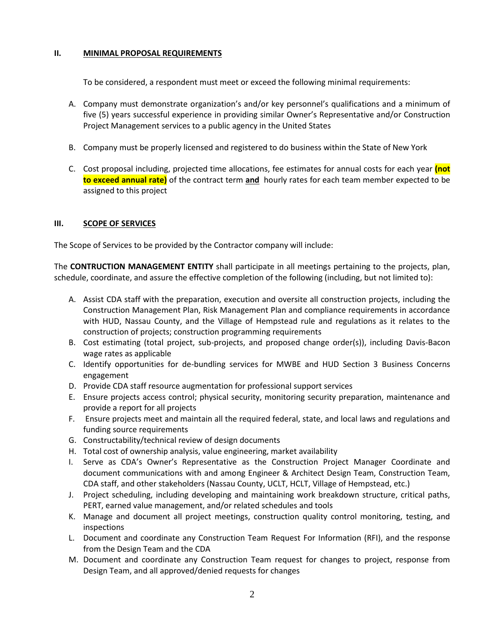#### **II. MINIMAL PROPOSAL REQUIREMENTS**

To be considered, a respondent must meet or exceed the following minimal requirements:

- A. Company must demonstrate organization's and/or key personnel's qualifications and a minimum of five (5) years successful experience in providing similar Owner's Representative and/or Construction Project Management services to a public agency in the United States
- B. Company must be properly licensed and registered to do business within the State of New York
- C. Cost proposal including, projected time allocations, fee estimates for annual costs for each year **(not to exceed annual rate)** of the contract term **and** hourly rates for each team member expected to be assigned to this project

#### **III. SCOPE OF SERVICES**

The Scope of Services to be provided by the Contractor company will include:

The **CONTRUCTION MANAGEMENT ENTITY** shall participate in all meetings pertaining to the projects, plan, schedule, coordinate, and assure the effective completion of the following (including, but not limited to):

- A. Assist CDA staff with the preparation, execution and oversite all construction projects, including the Construction Management Plan, Risk Management Plan and compliance requirements in accordance with HUD, Nassau County, and the Village of Hempstead rule and regulations as it relates to the construction of projects; construction programming requirements
- B. Cost estimating (total project, sub-projects, and proposed change order(s)), including Davis-Bacon wage rates as applicable
- C. Identify opportunities for de-bundling services for MWBE and HUD Section 3 Business Concerns engagement
- D. Provide CDA staff resource augmentation for professional support services
- E. Ensure projects access control; physical security, monitoring security preparation, maintenance and provide a report for all projects
- F. Ensure projects meet and maintain all the required federal, state, and local laws and regulations and funding source requirements
- G. Constructability/technical review of design documents
- H. Total cost of ownership analysis, value engineering, market availability
- I. Serve as CDA's Owner's Representative as the Construction Project Manager Coordinate and document communications with and among Engineer & Architect Design Team, Construction Team, CDA staff, and other stakeholders (Nassau County, UCLT, HCLT, Village of Hempstead, etc.)
- J. Project scheduling, including developing and maintaining work breakdown structure, critical paths, PERT, earned value management, and/or related schedules and tools
- K. Manage and document all project meetings, construction quality control monitoring, testing, and inspections
- L. Document and coordinate any Construction Team Request For Information (RFI), and the response from the Design Team and the CDA
- M. Document and coordinate any Construction Team request for changes to project, response from Design Team, and all approved/denied requests for changes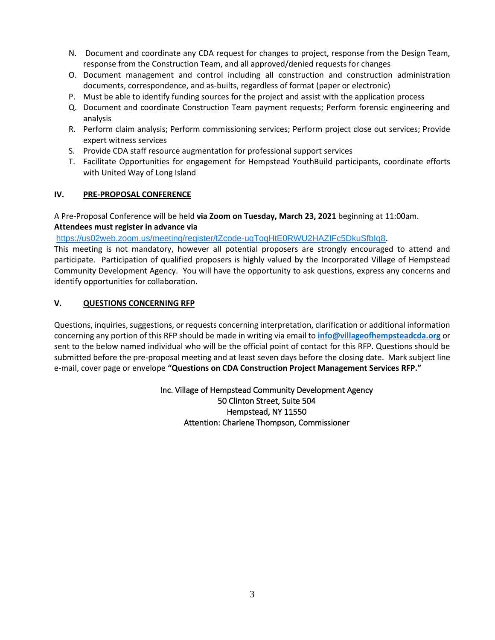- N. Document and coordinate any CDA request for changes to project, response from the Design Team, response from the Construction Team, and all approved/denied requests for changes
- O. Document management and control including all construction and construction administration documents, correspondence, and as-builts, regardless of format (paper or electronic)
- P. Must be able to identify funding sources for the project and assist with the application process
- Q. Document and coordinate Construction Team payment requests; Perform forensic engineering and analysis
- R. Perform claim analysis; Perform commissioning services; Perform project close out services; Provide expert witness services
- S. Provide CDA staff resource augmentation for professional support services
- T. Facilitate Opportunities for engagement for Hempstead YouthBuild participants, coordinate efforts with United Way of Long Island

#### **IV. PRE-PROPOSAL CONFERENCE**

A Pre-Proposal Conference will be held **via Zoom on Tuesday, March 23, 2021** beginning at 11:00am. **Attendees must register in advance via**

<https://us02web.zoom.us/meeting/register/tZcode-uqToqHtE0RWU2HAZIFc5DkuSfbIq8>.

This meeting is not mandatory, however all potential proposers are strongly encouraged to attend and participate. Participation of qualified proposers is highly valued by the Incorporated Village of Hempstead Community Development Agency. You will have the opportunity to ask questions, express any concerns and identify opportunities for collaboration.

#### **V. QUESTIONS CONCERNING RFP**

Questions, inquiries, suggestions, or requests concerning interpretation, clarification or additional information concerning any portion of this RFP should be made in writing via email to **[info@villageofhempsteadcda.org](mailto:info@villageofhempsteadcda.org)** or sent to the below named individual who will be the official point of contact for this RFP. Questions should be submitted before the pre-proposal meeting and at least seven days before the closing date. Mark subject line e-mail, cover page or envelope **"Questions on CDA Construction Project Management Services RFP."**

> Inc. Village of Hempstead Community Development Agency 50 Clinton Street, Suite 504 Hempstead, NY 11550 Attention: Charlene Thompson, Commissioner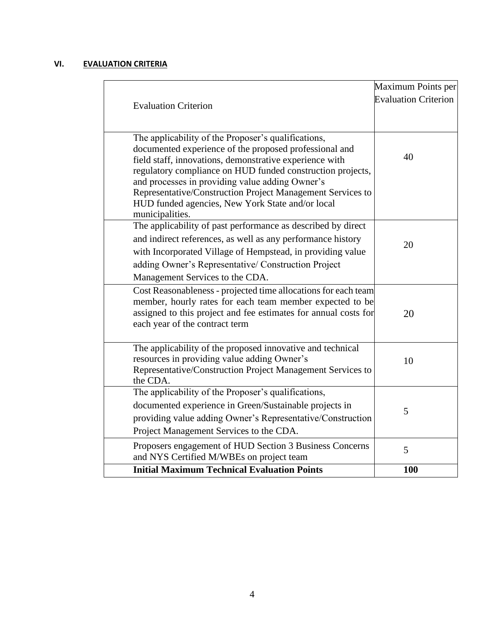# **VI. EVALUATION CRITERIA**

|                                                                                                               | Maximum Points per          |
|---------------------------------------------------------------------------------------------------------------|-----------------------------|
|                                                                                                               | <b>Evaluation Criterion</b> |
| <b>Evaluation Criterion</b>                                                                                   |                             |
|                                                                                                               |                             |
| The applicability of the Proposer's qualifications,                                                           |                             |
| documented experience of the proposed professional and                                                        |                             |
| field staff, innovations, demonstrative experience with                                                       | 40                          |
| regulatory compliance on HUD funded construction projects,                                                    |                             |
| and processes in providing value adding Owner's<br>Representative/Construction Project Management Services to |                             |
| HUD funded agencies, New York State and/or local                                                              |                             |
| municipalities.                                                                                               |                             |
| The applicability of past performance as described by direct                                                  |                             |
| and indirect references, as well as any performance history                                                   | 20                          |
| with Incorporated Village of Hempstead, in providing value                                                    |                             |
| adding Owner's Representative/ Construction Project                                                           |                             |
| Management Services to the CDA.                                                                               |                             |
| Cost Reasonableness - projected time allocations for each team                                                |                             |
| member, hourly rates for each team member expected to be                                                      |                             |
| assigned to this project and fee estimates for annual costs for                                               | 20                          |
| each year of the contract term                                                                                |                             |
| The applicability of the proposed innovative and technical                                                    |                             |
| resources in providing value adding Owner's                                                                   | 10                          |
| Representative/Construction Project Management Services to                                                    |                             |
| the CDA.                                                                                                      |                             |
| The applicability of the Proposer's qualifications,                                                           |                             |
| documented experience in Green/Sustainable projects in                                                        | 5                           |
| providing value adding Owner's Representative/Construction                                                    |                             |
| Project Management Services to the CDA.                                                                       |                             |
| Proposers engagement of HUD Section 3 Business Concerns                                                       | 5                           |
| and NYS Certified M/WBEs on project team                                                                      |                             |
| <b>Initial Maximum Technical Evaluation Points</b>                                                            | 100                         |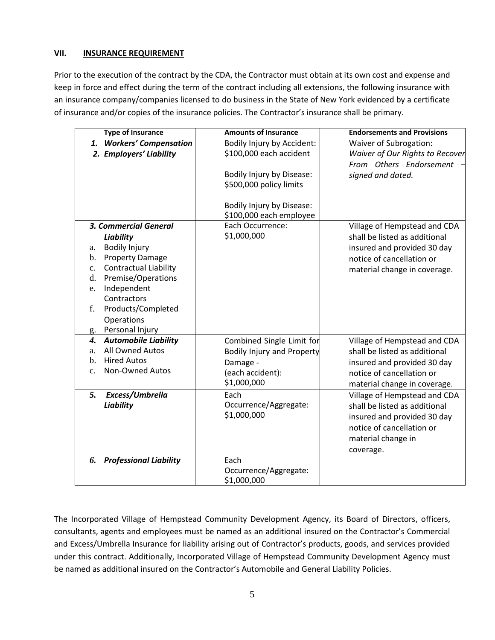#### **VII. INSURANCE REQUIREMENT**

Prior to the execution of the contract by the CDA, the Contractor must obtain at its own cost and expense and keep in force and effect during the term of the contract including all extensions, the following insurance with an insurance company/companies licensed to do business in the State of New York evidenced by a certificate of insurance and/or copies of the insurance policies. The Contractor's insurance shall be primary.

| <b>Type of Insurance</b>                    | <b>Amounts of Insurance</b>       | <b>Endorsements and Provisions</b> |
|---------------------------------------------|-----------------------------------|------------------------------------|
| 1. Workers' Compensation                    | Bodily Injury by Accident:        | Waiver of Subrogation:             |
| 2. Employers' Liability                     | \$100,000 each accident           | Waiver of Our Rights to Recover    |
|                                             |                                   | From Others Endorsement            |
|                                             | Bodily Injury by Disease:         | signed and dated.                  |
|                                             | \$500,000 policy limits           |                                    |
|                                             |                                   |                                    |
|                                             | Bodily Injury by Disease:         |                                    |
|                                             | \$100,000 each employee           |                                    |
| 3. Commercial General                       | Each Occurrence:                  | Village of Hempstead and CDA       |
| <b>Liability</b>                            | \$1,000,000                       | shall be listed as additional      |
| <b>Bodily Injury</b><br>a.                  |                                   | insured and provided 30 day        |
| <b>Property Damage</b><br>b.                |                                   | notice of cancellation or          |
| <b>Contractual Liability</b><br>$c_{\cdot}$ |                                   | material change in coverage.       |
| Premise/Operations<br>d.                    |                                   |                                    |
| Independent<br>e.<br>Contractors            |                                   |                                    |
| f.<br>Products/Completed                    |                                   |                                    |
| Operations                                  |                                   |                                    |
| g. Personal Injury                          |                                   |                                    |
| <b>Automobile Liability</b><br>4.           | Combined Single Limit for         | Village of Hempstead and CDA       |
| All Owned Autos<br>a.                       | <b>Bodily Injury and Property</b> | shall be listed as additional      |
| <b>Hired Autos</b><br>$\mathbf{b}$ .        | Damage -                          | insured and provided 30 day        |
| Non-Owned Autos<br>$\mathbf{c}$ .           | (each accident):                  | notice of cancellation or          |
|                                             | \$1,000,000                       | material change in coverage.       |
| Excess/Umbrella<br>5.                       | Each                              | Village of Hempstead and CDA       |
| <b>Liability</b>                            | Occurrence/Aggregate:             | shall be listed as additional      |
|                                             | \$1,000,000                       | insured and provided 30 day        |
|                                             |                                   | notice of cancellation or          |
|                                             |                                   | material change in                 |
|                                             |                                   | coverage.                          |
| <b>Professional Liability</b><br>6.         | Each                              |                                    |
|                                             | Occurrence/Aggregate:             |                                    |
|                                             | \$1,000,000                       |                                    |

The Incorporated Village of Hempstead Community Development Agency, its Board of Directors, officers, consultants, agents and employees must be named as an additional insured on the Contractor's Commercial and Excess/Umbrella Insurance for liability arising out of Contractor's products, goods, and services provided under this contract. Additionally, Incorporated Village of Hempstead Community Development Agency must be named as additional insured on the Contractor's Automobile and General Liability Policies.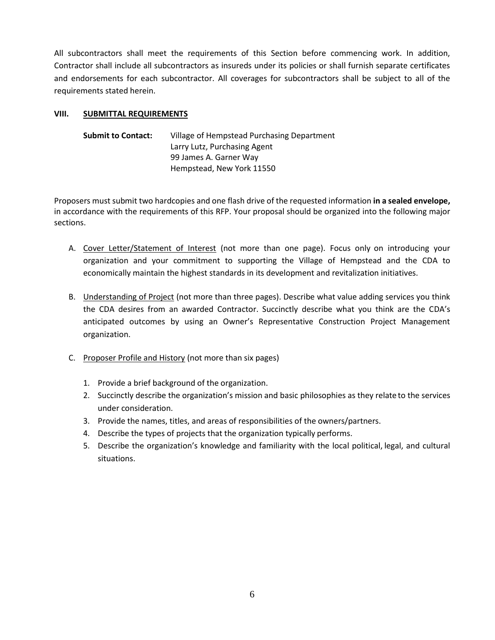All subcontractors shall meet the requirements of this Section before commencing work. In addition, Contractor shall include all subcontractors as insureds under its policies or shall furnish separate certificates and endorsements for each subcontractor. All coverages for subcontractors shall be subject to all of the requirements stated herein.

#### **VIII. SUBMITTAL REQUIREMENTS**

| <b>Submit to Contact:</b> | Village of Hempstead Purchasing Department |  |
|---------------------------|--------------------------------------------|--|
|                           | Larry Lutz, Purchasing Agent               |  |
|                           | 99 James A. Garner Way                     |  |
|                           | Hempstead, New York 11550                  |  |

Proposers must submit two hardcopies and one flash drive of the requested information **in a sealed envelope,** in accordance with the requirements of this RFP. Your proposal should be organized into the following major sections.

- A. Cover Letter/Statement of Interest (not more than one page). Focus only on introducing your organization and your commitment to supporting the Village of Hempstead and the CDA to economically maintain the highest standards in its development and revitalization initiatives.
- B. Understanding of Project (not more than three pages). Describe what value adding services you think the CDA desires from an awarded Contractor. Succinctly describe what you think are the CDA's anticipated outcomes by using an Owner's Representative Construction Project Management organization.
- C. Proposer Profile and History (not more than six pages)
	- 1. Provide a brief background of the organization.
	- 2. Succinctly describe the organization's mission and basic philosophies as they relate to the services under consideration.
	- 3. Provide the names, titles, and areas of responsibilities of the owners/partners.
	- 4. Describe the types of projects that the organization typically performs.
	- 5. Describe the organization's knowledge and familiarity with the local political, legal, and cultural situations.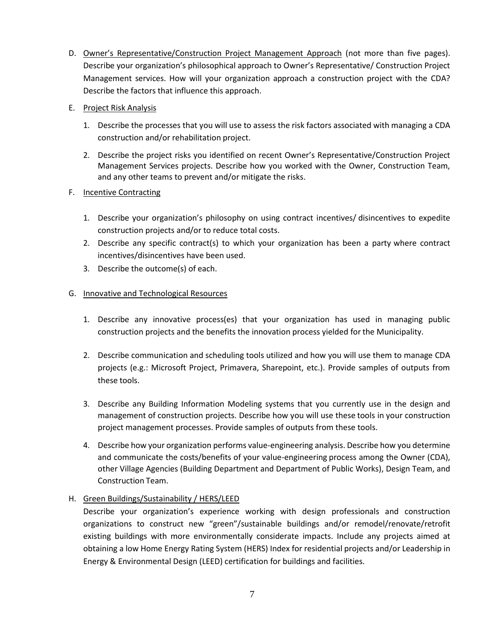- D. Owner's Representative/Construction Project Management Approach (not more than five pages). Describe your organization's philosophical approach to Owner's Representative/ Construction Project Management services. How will your organization approach a construction project with the CDA? Describe the factors that influence this approach.
- E. Project Risk Analysis
	- 1. Describe the processes that you will use to assess the risk factors associated with managing a CDA construction and/or rehabilitation project.
	- 2. Describe the project risks you identified on recent Owner's Representative/Construction Project Management Services projects. Describe how you worked with the Owner, Construction Team, and any other teams to prevent and/or mitigate the risks.
- F. Incentive Contracting
	- 1. Describe your organization's philosophy on using contract incentives/ disincentives to expedite construction projects and/or to reduce total costs.
	- 2. Describe any specific contract(s) to which your organization has been a party where contract incentives/disincentives have been used.
	- 3. Describe the outcome(s) of each.

## G. Innovative and Technological Resources

- 1. Describe any innovative process(es) that your organization has used in managing public construction projects and the benefits the innovation process yielded for the Municipality.
- 2. Describe communication and scheduling tools utilized and how you will use them to manage CDA projects (e.g.: Microsoft Project, Primavera, Sharepoint, etc.). Provide samples of outputs from these tools.
- 3. Describe any Building Information Modeling systems that you currently use in the design and management of construction projects. Describe how you will use these tools in your construction project management processes. Provide samples of outputs from these tools.
- 4. Describe how your organization performs value-engineering analysis. Describe how you determine and communicate the costs/benefits of your value-engineering process among the Owner (CDA), other Village Agencies (Building Department and Department of Public Works), Design Team, and Construction Team.

#### H. Green Buildings/Sustainability / HERS/LEED

Describe your organization's experience working with design professionals and construction organizations to construct new "green"/sustainable buildings and/or remodel/renovate/retrofit existing buildings with more environmentally considerate impacts. Include any projects aimed at obtaining a low Home Energy Rating System (HERS) Index for residential projects and/or Leadership in Energy & Environmental Design (LEED) certification for buildings and facilities.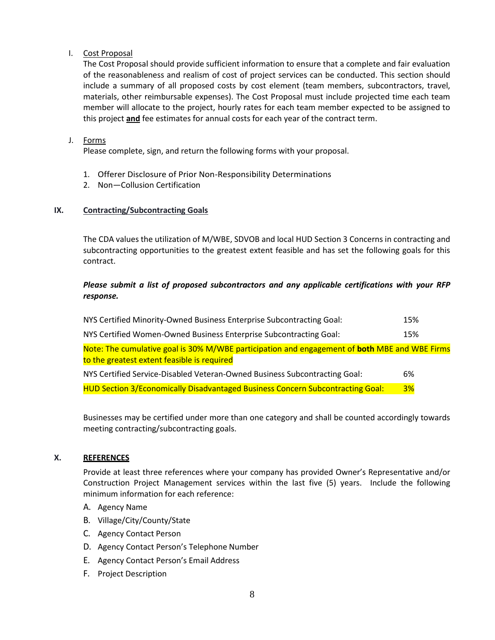#### I. Cost Proposal

The Cost Proposal should provide sufficient information to ensure that a complete and fair evaluation of the reasonableness and realism of cost of project services can be conducted. This section should include a summary of all proposed costs by cost element (team members, subcontractors, travel, materials, other reimbursable expenses). The Cost Proposal must include projected time each team member will allocate to the project, hourly rates for each team member expected to be assigned to this project **and** fee estimates for annual costs for each year of the contract term.

#### J. Forms

Please complete, sign, and return the following forms with your proposal.

- 1. Offerer Disclosure of Prior Non-Responsibility Determinations
- 2. Non—Collusion Certification

#### **IX. Contracting/Subcontracting Goals**

The CDA values the utilization of M/WBE, SDVOB and local HUD Section 3 Concerns in contracting and subcontracting opportunities to the greatest extent feasible and has set the following goals for this contract.

## *Please submit a list of proposed subcontractors and any applicable certifications with your RFP response.*

| NYS Certified Minority-Owned Business Enterprise Subcontracting Goal:                                                                        | 15% |
|----------------------------------------------------------------------------------------------------------------------------------------------|-----|
| NYS Certified Women-Owned Business Enterprise Subcontracting Goal:                                                                           | 15% |
| Note: The cumulative goal is 30% M/WBE participation and engagement of both MBE and WBE Firms<br>to the greatest extent feasible is required |     |
| NYS Certified Service-Disabled Veteran-Owned Business Subcontracting Goal:                                                                   | 6%  |
| HUD Section 3/Economically Disadvantaged Business Concern Subcontracting Goal:                                                               | 3%  |

Businesses may be certified under more than one category and shall be counted accordingly towards meeting contracting/subcontracting goals.

## **X. REFERENCES**

Provide at least three references where your company has provided Owner's Representative and/or Construction Project Management services within the last five (5) years. Include the following minimum information for each reference:

- A. Agency Name
- B. Village/City/County/State
- C. Agency Contact Person
- D. Agency Contact Person's Telephone Number
- E. Agency Contact Person's Email Address
- F. Project Description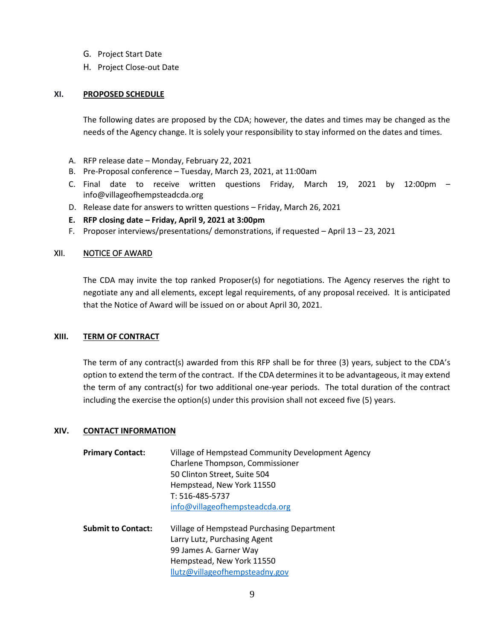- G. Project Start Date
- H. Project Close-out Date

#### **XI. PROPOSED SCHEDULE**

The following dates are proposed by the CDA; however, the dates and times may be changed as the needs of the Agency change. It is solely your responsibility to stay informed on the dates and times.

- A. RFP release date Monday, February 22, 2021
- B. Pre-Proposal conference Tuesday, March 23, 2021, at 11:00am
- C. Final date to receive written questions Friday, March 19, 2021 by 12:00pm info@villageofhempsteadcda.org
- D. Release date for answers to written questions Friday, March 26, 2021
- **E. RFP closing date – Friday, April 9, 2021 at 3:00pm**
- F. Proposer interviews/presentations/ demonstrations, if requested April 13 23, 2021

#### XII. NOTICE OF AWARD

The CDA may invite the top ranked Proposer(s) for negotiations. The Agency reserves the right to negotiate any and all elements, except legal requirements, of any proposal received. It is anticipated that the Notice of Award will be issued on or about April 30, 2021.

#### **XIII. TERM OF CONTRACT**

The term of any contract(s) awarded from this RFP shall be for three (3) years, subject to the CDA's option to extend the term of the contract. If the CDA determines it to be advantageous, it may extend the term of any contract(s) for two additional one-year periods. The total duration of the contract including the exercise the option(s) under this provision shall not exceed five (5) years.

#### **XIV. CONTACT INFORMATION**

| <b>Primary Contact:</b>   | Village of Hempstead Community Development Agency<br>Charlene Thompson, Commissioner<br>50 Clinton Street, Suite 504<br>Hempstead, New York 11550<br>T: 516-485-5737<br>info@villageofhempsteadcda.org |
|---------------------------|--------------------------------------------------------------------------------------------------------------------------------------------------------------------------------------------------------|
| <b>Submit to Contact:</b> | Village of Hemnstead Purchasing Denartment                                                                                                                                                             |

**Submit to Contact:** Village of Hempstead Purchasing Department Larry Lutz, Purchasing Agent 99 James A. Garner Way Hempstead, New York 11550 [llutz@villageofhempsteadny.gov](mailto:llutz@villageofhempsteadny.gov)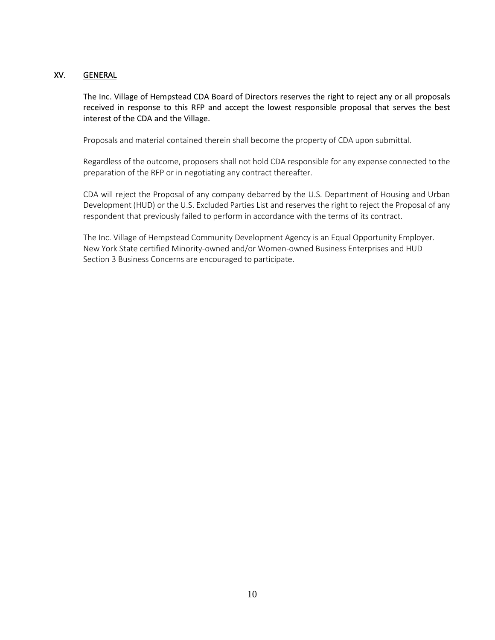### XV. GENERAL

The Inc. Village of Hempstead CDA Board of Directors reserves the right to reject any or all proposals received in response to this RFP and accept the lowest responsible proposal that serves the best interest of the CDA and the Village.

Proposals and material contained therein shall become the property of CDA upon submittal.

Regardless of the outcome, proposers shall not hold CDA responsible for any expense connected to the preparation of the RFP or in negotiating any contract thereafter.

CDA will reject the Proposal of any company debarred by the U.S. Department of Housing and Urban Development (HUD) or the U.S. Excluded Parties List and reserves the right to reject the Proposal of any respondent that previously failed to perform in accordance with the terms of its contract.

The Inc. Village of Hempstead Community Development Agency is an Equal Opportunity Employer. New York State certified Minority-owned and/or Women-owned Business Enterprises and HUD Section 3 Business Concerns are encouraged to participate.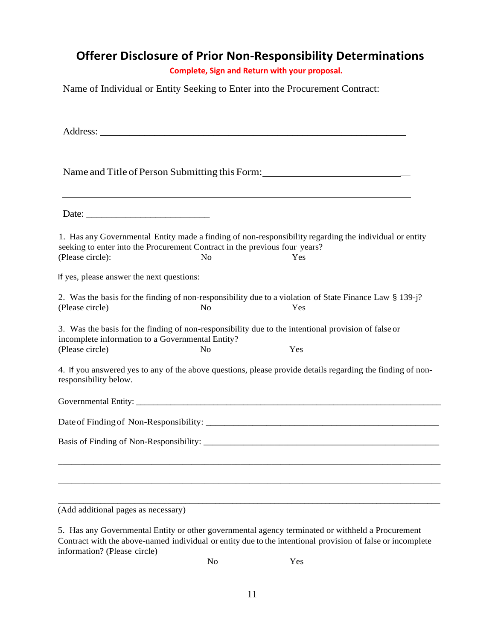# **Offerer Disclosure of Prior Non-Responsibility Determinations**

**Complete, Sign and Return with your proposal.**

Name of Individual or Entity Seeking to Enter into the Procurement Contract:

| Address:                                                                                       |                |                                                                                                                |
|------------------------------------------------------------------------------------------------|----------------|----------------------------------------------------------------------------------------------------------------|
|                                                                                                |                | Name and Title of Person Submitting this Form:                                                                 |
| Date:                                                                                          |                |                                                                                                                |
| seeking to enter into the Procurement Contract in the previous four years?<br>(Please circle): | No             | 1. Has any Governmental Entity made a finding of non-responsibility regarding the individual or entity<br>Yes  |
| If yes, please answer the next questions:                                                      |                |                                                                                                                |
| (Please circle)                                                                                | N <sub>o</sub> | 2. Was the basis for the finding of non-responsibility due to a violation of State Finance Law § 139-j?<br>Yes |
| incomplete information to a Governmental Entity?                                               |                | 3. Was the basis for the finding of non-responsibility due to the intentional provision of false or            |
| (Please circle)                                                                                | No             | Yes                                                                                                            |
| responsibility below.                                                                          |                | 4. If you answered yes to any of the above questions, please provide details regarding the finding of non-     |
|                                                                                                |                |                                                                                                                |
|                                                                                                |                |                                                                                                                |
|                                                                                                |                |                                                                                                                |
|                                                                                                |                |                                                                                                                |
|                                                                                                |                |                                                                                                                |
| (Add additional pages as necessary)                                                            |                |                                                                                                                |

5. Has any Governmental Entity or other governmental agency terminated or withheld a Procurement Contract with the above-named individual or entity due to the intentional provision of false or incomplete information? (Please circle)

No Yes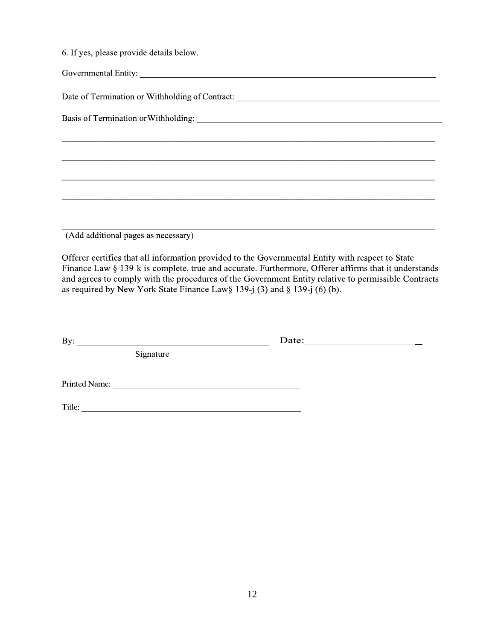6. If yes, please provide details below.

| Governmental Entity: |  |
|----------------------|--|
|                      |  |
|                      |  |
|                      |  |
|                      |  |
|                      |  |
|                      |  |
|                      |  |
|                      |  |

(Add additional pages as necessary)

 $\hat{\boldsymbol{\theta}}$ 

Offerer certifies that all information provided to the Governmental Entity with respect to State Finance Law § 139-k is complete, true and accurate. Furthermore, Offerer affirms that it understands and agrees to comply with the procedures of the Government Entity relative to permissible Contracts as required by New York State Finance Law § 139-j (3) and § 139-j (6) (b).

| By:           |           | Date: |
|---------------|-----------|-------|
|               | Signature |       |
| Printed Name: |           |       |
| Title:        |           |       |

 $\hat{\boldsymbol{\beta}}$